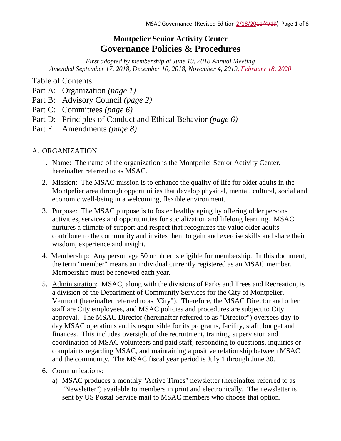# **Montpelier Senior Activity Center Governance Policies & Procedures**

*First adopted by membership at June 19, 2018 Annual Meeting Amended September 17, 2018, December 10, 2018, November 4, 2019, February 18, 2020*

Table of Contents:

- Part A: Organization *(page 1)*
- Part B: Advisory Council *(page 2)*
- Part C: Committees *(page 6)*
- Part D: Principles of Conduct and Ethical Behavior *(page 6)*
- Part E: Amendments *(page 8)*

## A. ORGANIZATION

- 1. Name: The name of the organization is the Montpelier Senior Activity Center, hereinafter referred to as MSAC.
- 2. Mission: The MSAC mission is to enhance the quality of life for older adults in the Montpelier area through opportunities that develop physical, mental, cultural, social and economic well-being in a welcoming, flexible environment.
- 3. Purpose: The MSAC purpose is to foster healthy aging by offering older persons activities, services and opportunities for socialization and lifelong learning. MSAC nurtures a climate of support and respect that recognizes the value older adults contribute to the community and invites them to gain and exercise skills and share their wisdom, experience and insight.
- 4. Membership: Any person age 50 or older is eligible for membership. In this document, the term "member" means an individual currently registered as an MSAC member. Membership must be renewed each year.
- 5. Administration: MSAC, along with the divisions of Parks and Trees and Recreation, is a division of the Department of Community Services for the City of Montpelier, Vermont (hereinafter referred to as "City"). Therefore, the MSAC Director and other staff are City employees, and MSAC policies and procedures are subject to City approval. The MSAC Director (hereinafter referred to as "Director") oversees day-today MSAC operations and is responsible for its programs, facility, staff, budget and finances. This includes oversight of the recruitment, training, supervision and coordination of MSAC volunteers and paid staff, responding to questions, inquiries or complaints regarding MSAC, and maintaining a positive relationship between MSAC and the community. The MSAC fiscal year period is July 1 through June 30.
- 6. Communications:
	- a) MSAC produces a monthly "Active Times" newsletter (hereinafter referred to as "Newsletter") available to members in print and electronically. The newsletter is sent by US Postal Service mail to MSAC members who choose that option.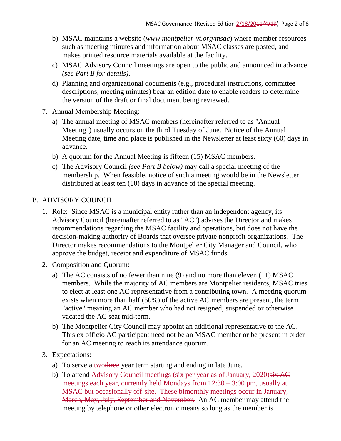- b) MSAC maintains a website (*www.montpelier-vt.org/msac*) where member resources such as meeting minutes and information about MSAC classes are posted, and makes printed resource materials available at the facility.
- c) MSAC Advisory Council meetings are open to the public and announced in advance *(see Part B for details)*.
- d) Planning and organizational documents (e.g., procedural instructions, committee descriptions, meeting minutes) bear an edition date to enable readers to determine the version of the draft or final document being reviewed.
- 7. Annual Membership Meeting:
	- a) The annual meeting of MSAC members (hereinafter referred to as "Annual Meeting") usually occurs on the third Tuesday of June. Notice of the Annual Meeting date, time and place is published in the Newsletter at least sixty (60) days in advance.
	- b) A quorum for the Annual Meeting is fifteen (15) MSAC members.
	- c) The Advisory Council *(see Part B below)* may call a special meeting of the membership. When feasible, notice of such a meeting would be in the Newsletter distributed at least ten (10) days in advance of the special meeting.

#### B. ADVISORY COUNCIL

- 1. Role: Since MSAC is a municipal entity rather than an independent agency, its Advisory Council (hereinafter referred to as "AC") advises the Director and makes recommendations regarding the MSAC facility and operations, but does not have the decision-making authority of Boards that oversee private nonprofit organizations. The Director makes recommendations to the Montpelier City Manager and Council, who approve the budget, receipt and expenditure of MSAC funds.
- 2. Composition and Quorum:
	- a) The AC consists of no fewer than nine (9) and no more than eleven (11) MSAC members. While the majority of AC members are Montpelier residents, MSAC tries to elect at least one AC representative from a contributing town. A meeting quorum exists when more than half (50%) of the active AC members are present, the term "active" meaning an AC member who had not resigned, suspended or otherwise vacated the AC seat mid-term.
	- b) The Montpelier City Council may appoint an additional representative to the AC. This ex officio AC participant need not be an MSAC member or be present in order for an AC meeting to reach its attendance quorum.

#### 3. Expectations:

- a) To serve a twothree year term starting and ending in late June.
- b) To attend Advisory Council meetings (six per year as of January, 2020) six AC meetings each year, currently held Mondays from 12:30 – 3:00 pm, usually at MSAC but occasionally off-site. These bimonthly meetings occur in January, March, May, July, September and November. An AC member may attend the meeting by telephone or other electronic means so long as the member is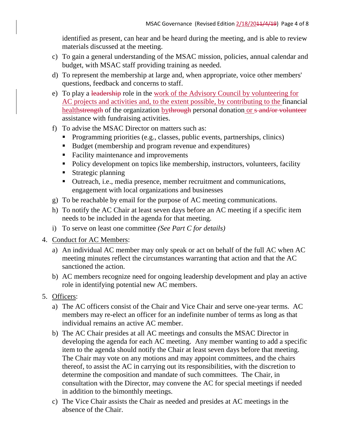identified as present, can hear and be heard during the meeting, and is able to review materials discussed at the meeting.

- c) To gain a general understanding of the MSAC mission, policies, annual calendar and budget, with MSAC staff providing training as needed.
- d) To represent the membership at large and, when appropriate, voice other members' questions, feedback and concerns to staff.
- e) To play a leadership role in the work of the Advisory Council by volunteering for AC projects and activities and, to the extent possible, by contributing to the financial health strength of the organization by through personal donation or s and/or volunteer assistance with fundraising activities.
- f) To advise the MSAC Director on matters such as:
	- Programming priorities (e.g., classes, public events, partnerships, clinics)
	- Budget (membership and program revenue and expenditures)
	- Facility maintenance and improvements
	- Policy development on topics like membership, instructors, volunteers, facility
	- **Strategic planning**
	- Outreach, i.e., media presence, member recruitment and communications, engagement with local organizations and businesses
- g) To be reachable by email for the purpose of AC meeting communications.
- h) To notify the AC Chair at least seven days before an AC meeting if a specific item needs to be included in the agenda for that meeting.
- i) To serve on least one committee *(See Part C for details)*
- 4. Conduct for AC Members:
	- a) An individual AC member may only speak or act on behalf of the full AC when AC meeting minutes reflect the circumstances warranting that action and that the AC sanctioned the action.
	- b) AC members recognize need for ongoing leadership development and play an active role in identifying potential new AC members.
- 5. Officers:
	- a) The AC officers consist of the Chair and Vice Chair and serve one-year terms. AC members may re-elect an officer for an indefinite number of terms as long as that individual remains an active AC member.
	- b) The AC Chair presides at all AC meetings and consults the MSAC Director in developing the agenda for each AC meeting. Any member wanting to add a specific item to the agenda should notify the Chair at least seven days before that meeting. The Chair may vote on any motions and may appoint committees, and the chairs thereof, to assist the AC in carrying out its responsibilities, with the discretion to determine the composition and mandate of such committees. The Chair, in consultation with the Director, may convene the AC for special meetings if needed in addition to the bimonthly meetings.
	- c) The Vice Chair assists the Chair as needed and presides at AC meetings in the absence of the Chair.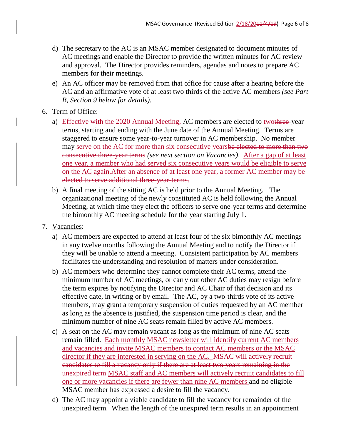- d) The secretary to the AC is an MSAC member designated to document minutes of AC meetings and enable the Director to provide the written minutes for AC review and approval. The Director provides reminders, agendas and notes to prepare AC members for their meetings.
- e) An AC officer may be removed from that office for cause after a hearing before the AC and an affirmative vote of at least two thirds of the active AC members *(see Part B, Section 9 below for details)*.
- 6. Term of Office:
	- a) Effective with the 2020 Annual Meeting, AC members are elected to two three-year terms, starting and ending with the June date of the Annual Meeting. Terms are staggered to ensure some year-to-year turnover in AC membership. No member may serve on the AC for more than six consecutive yearsbe elected to more than two consecutive three-year terms *(see next section on Vacancies)*. After a gap of at least one year, a member who had served six consecutive years would be eligible to serve on the AC again.After an absence of at least one year, a former AC member may be elected to serve additional three-year-terms.
	- b) A final meeting of the sitting AC is held prior to the Annual Meeting. The organizational meeting of the newly constituted AC is held following the Annual Meeting, at which time they elect the officers to serve one-year terms and determine the bimonthly AC meeting schedule for the year starting July 1.
- 7. Vacancies:
	- a) AC members are expected to attend at least four of the six bimonthly AC meetings in any twelve months following the Annual Meeting and to notify the Director if they will be unable to attend a meeting. Consistent participation by AC members facilitates the understanding and resolution of matters under consideration.
	- b) AC members who determine they cannot complete their AC terms, attend the minimum number of AC meetings, or carry out other AC duties may resign before the term expires by notifying the Director and AC Chair of that decision and its effective date, in writing or by email. The AC, by a two-thirds vote of its active members, may grant a temporary suspension of duties requested by an AC member as long as the absence is justified, the suspension time period is clear, and the minimum number of nine AC seats remain filled by active AC members.
	- c) A seat on the AC may remain vacant as long as the minimum of nine AC seats remain filled. Each monthly MSAC newsletter will identify current AC members and vacancies and invite MSAC members to contact AC members or the MSAC director if they are interested in serving on the AC. MSAC will actively recruit candidates to fill a vacancy only if there are at least two years remaining in the unexpired term MSAC staff and AC members will actively recruit candidates to fill one or more vacancies if there are fewer than nine AC members and no eligible MSAC member has expressed a desire to fill the vacancy.
	- d) The AC may appoint a viable candidate to fill the vacancy for remainder of the unexpired term. When the length of the unexpired term results in an appointment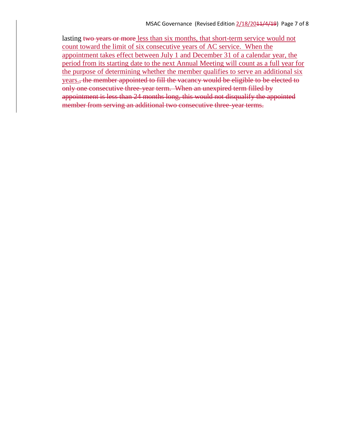lasting two years or more less than six months, that short-term service would not count toward the limit of six consecutive years of AC service. When the appointment takes effect between July 1 and December 31 of a calendar year, the period from its starting date to the next Annual Meeting will count as a full year for the purpose of determining whether the member qualifies to serve an additional six years., the member appointed to fill the vacancy would be eligible to be elected to only one consecutive three-year term. When an unexpired term filled by appointment is less than 24 months long, this would not disqualify the appointed member from serving an additional two consecutive three-year terms.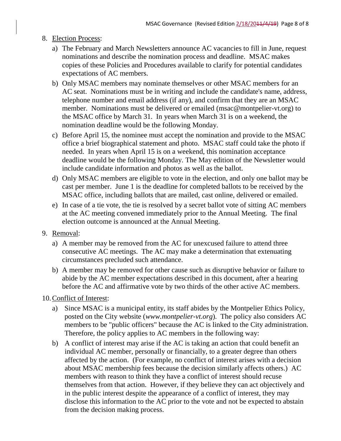## 8. Election Process:

- a) The February and March Newsletters announce AC vacancies to fill in June, request nominations and describe the nomination process and deadline. MSAC makes copies of these Policies and Procedures available to clarify for potential candidates expectations of AC members.
- b) Only MSAC members may nominate themselves or other MSAC members for an AC seat. Nominations must be in writing and include the candidate's name, address, telephone number and email address (if any), and confirm that they are an MSAC member. Nominations must be delivered or emailed (msac@montpelier-vt.org) to the MSAC office by March 31. In years when March 31 is on a weekend, the nomination deadline would be the following Monday.
- c) Before April 15, the nominee must accept the nomination and provide to the MSAC office a brief biographical statement and photo. MSAC staff could take the photo if needed. In years when April 15 is on a weekend, this nomination acceptance deadline would be the following Monday. The May edition of the Newsletter would include candidate information and photos as well as the ballot.
- d) Only MSAC members are eligible to vote in the election, and only one ballot may be cast per member. June 1 is the deadline for completed ballots to be received by the MSAC office, including ballots that are mailed, cast online, delivered or emailed.
- e) In case of a tie vote, the tie is resolved by a secret ballot vote of sitting AC members at the AC meeting convened immediately prior to the Annual Meeting. The final election outcome is announced at the Annual Meeting.
- 9. Removal:
	- a) A member may be removed from the AC for unexcused failure to attend three consecutive AC meetings. The AC may make a determination that extenuating circumstances precluded such attendance.
	- b) A member may be removed for other cause such as disruptive behavior or failure to abide by the AC member expectations described in this document, after a hearing before the AC and affirmative vote by two thirds of the other active AC members.
- 10.Conflict of Interest:
	- a) Since MSAC is a municipal entity, its staff abides by the Montpelier Ethics Policy, posted on the City website (*www.montpelier-vt.org*). The policy also considers AC members to be "public officers" because the AC is linked to the City administration. Therefore, the policy applies to AC members in the following way:
	- b) A conflict of interest may arise if the AC is taking an action that could benefit an individual AC member, personally or financially, to a greater degree than others affected by the action. (For example, no conflict of interest arises with a decision about MSAC membership fees because the decision similarly affects others.) AC members with reason to think they have a conflict of interest should recuse themselves from that action. However, if they believe they can act objectively and in the public interest despite the appearance of a conflict of interest, they may disclose this information to the AC prior to the vote and not be expected to abstain from the decision making process.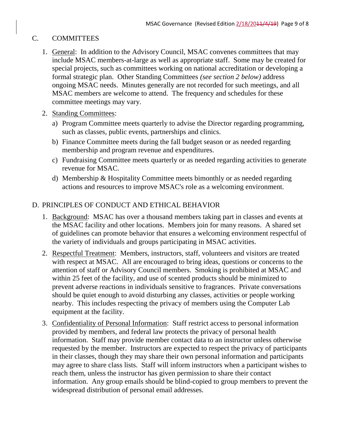# C. COMMITTEES

- 1. General: In addition to the Advisory Council, MSAC convenes committees that may include MSAC members-at-large as well as appropriate staff. Some may be created for special projects, such as committees working on national accreditation or developing a formal strategic plan. Other Standing Committees *(see section 2 below)* address ongoing MSAC needs. Minutes generally are not recorded for such meetings, and all MSAC members are welcome to attend. The frequency and schedules for these committee meetings may vary.
- 2. Standing Committees:
	- a) Program Committee meets quarterly to advise the Director regarding programming, such as classes, public events, partnerships and clinics.
	- b) Finance Committee meets during the fall budget season or as needed regarding membership and program revenue and expenditures.
	- c) Fundraising Committee meets quarterly or as needed regarding activities to generate revenue for MSAC.
	- d) Membership & Hospitality Committee meets bimonthly or as needed regarding actions and resources to improve MSAC's role as a welcoming environment.

## D. PRINCIPLES OF CONDUCT AND ETHICAL BEHAVIOR

- 1. Background: MSAC has over a thousand members taking part in classes and events at the MSAC facility and other locations. Members join for many reasons. A shared set of guidelines can promote behavior that ensures a welcoming environment respectful of the variety of individuals and groups participating in MSAC activities.
- 2. Respectful Treatment: Members, instructors, staff, volunteers and visitors are treated with respect at MSAC. All are encouraged to bring ideas, questions or concerns to the attention of staff or Advisory Council members. Smoking is prohibited at MSAC and within 25 feet of the facility, and use of scented products should be minimized to prevent adverse reactions in individuals sensitive to fragrances. Private conversations should be quiet enough to avoid disturbing any classes, activities or people working nearby. This includes respecting the privacy of members using the Computer Lab equipment at the facility.
- 3. Confidentiality of Personal Information: Staff restrict access to personal information provided by members, and federal law protects the privacy of personal health information. Staff may provide member contact data to an instructor unless otherwise requested by the member. Instructors are expected to respect the privacy of participants in their classes, though they may share their own personal information and participants may agree to share class lists. Staff will inform instructors when a participant wishes to reach them, unless the instructor has given permission to share their contact information. Any group emails should be blind-copied to group members to prevent the widespread distribution of personal email addresses.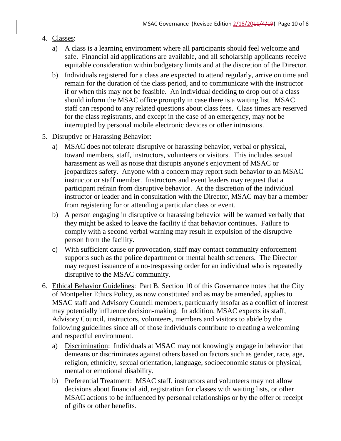# 4. Classes:

- a) A class is a learning environment where all participants should feel welcome and safe. Financial aid applications are available, and all scholarship applicants receive equitable consideration within budgetary limits and at the discretion of the Director.
- b) Individuals registered for a class are expected to attend regularly, arrive on time and remain for the duration of the class period, and to communicate with the instructor if or when this may not be feasible. An individual deciding to drop out of a class should inform the MSAC office promptly in case there is a waiting list. MSAC staff can respond to any related questions about class fees. Class times are reserved for the class registrants, and except in the case of an emergency, may not be interrupted by personal mobile electronic devices or other intrusions.
- 5. Disruptive or Harassing Behavior:
	- a) MSAC does not tolerate disruptive or harassing behavior, verbal or physical, toward members, staff, instructors, volunteers or visitors. This includes sexual harassment as well as noise that disrupts anyone's enjoyment of MSAC or jeopardizes safety. Anyone with a concern may report such behavior to an MSAC instructor or staff member. Instructors and event leaders may request that a participant refrain from disruptive behavior. At the discretion of the individual instructor or leader and in consultation with the Director, MSAC may bar a member from registering for or attending a particular class or event.
	- b) A person engaging in disruptive or harassing behavior will be warned verbally that they might be asked to leave the facility if that behavior continues. Failure to comply with a second verbal warning may result in expulsion of the disruptive person from the facility.
	- c) With sufficient cause or provocation, staff may contact community enforcement supports such as the police department or mental health screeners. The Director may request issuance of a no-trespassing order for an individual who is repeatedly disruptive to the MSAC community.
- 6. Ethical Behavior Guidelines: Part B, Section 10 of this Governance notes that the City of Montpelier Ethics Policy, as now constituted and as may be amended, applies to MSAC staff and Advisory Council members, particularly insofar as a conflict of interest may potentially influence decision-making. In addition, MSAC expects its staff, Advisory Council, instructors, volunteers, members and visitors to abide by the following guidelines since all of those individuals contribute to creating a welcoming and respectful environment.
	- a) Discrimination: Individuals at MSAC may not knowingly engage in behavior that demeans or discriminates against others based on factors such as gender, race, age, religion, ethnicity, sexual orientation, language, socioeconomic status or physical, mental or emotional disability.
	- b) Preferential Treatment: MSAC staff, instructors and volunteers may not allow decisions about financial aid, registration for classes with waiting lists, or other MSAC actions to be influenced by personal relationships or by the offer or receipt of gifts or other benefits.